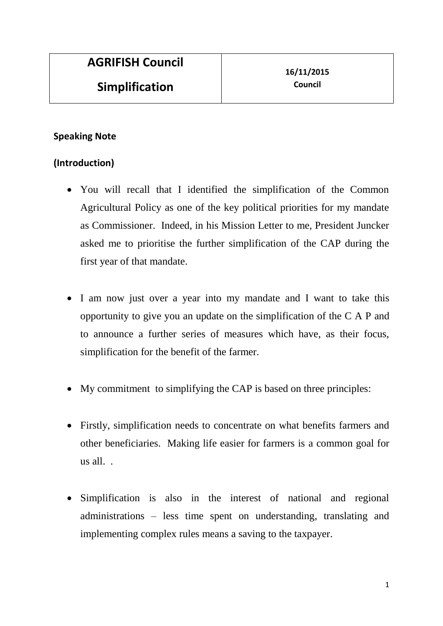## **Speaking Note**

# **(Introduction)**

- You will recall that I identified the simplification of the Common Agricultural Policy as one of the key political priorities for my mandate as Commissioner. Indeed, in his Mission Letter to me, President Juncker asked me to prioritise the further simplification of the CAP during the first year of that mandate.
- I am now just over a year into my mandate and I want to take this opportunity to give you an update on the simplification of the C A P and to announce a further series of measures which have, as their focus, simplification for the benefit of the farmer.
- My commitment to simplifying the CAP is based on three principles:
- Firstly, simplification needs to concentrate on what benefits farmers and other beneficiaries. Making life easier for farmers is a common goal for us all. .
- Simplification is also in the interest of national and regional administrations – less time spent on understanding, translating and implementing complex rules means a saving to the taxpayer.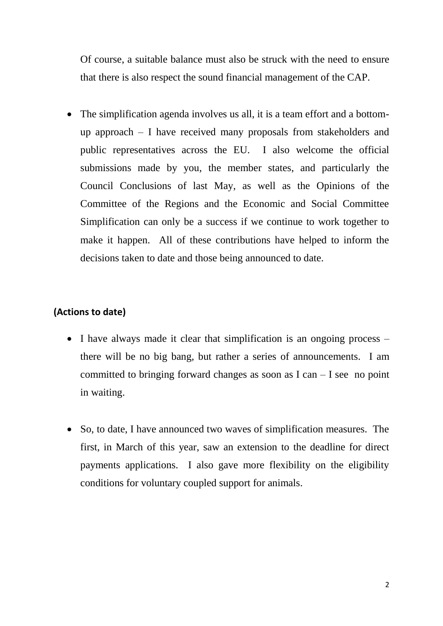Of course, a suitable balance must also be struck with the need to ensure that there is also respect the sound financial management of the CAP.

 The simplification agenda involves us all, it is a team effort and a bottomup approach – I have received many proposals from stakeholders and public representatives across the EU. I also welcome the official submissions made by you, the member states, and particularly the Council Conclusions of last May, as well as the Opinions of the Committee of the Regions and the Economic and Social Committee Simplification can only be a success if we continue to work together to make it happen. All of these contributions have helped to inform the decisions taken to date and those being announced to date.

### **(Actions to date)**

- I have always made it clear that simplification is an ongoing process there will be no big bang, but rather a series of announcements. I am committed to bringing forward changes as soon as  $I can - I see no point$ in waiting.
- So, to date, I have announced two waves of simplification measures. The first, in March of this year, saw an extension to the deadline for direct payments applications. I also gave more flexibility on the eligibility conditions for voluntary coupled support for animals.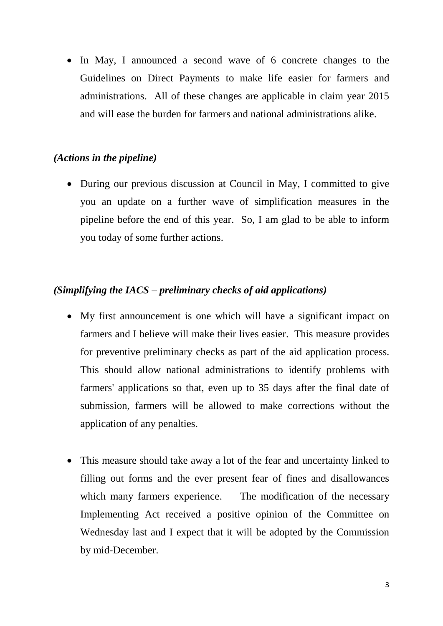In May, I announced a second wave of 6 concrete changes to the Guidelines on Direct Payments to make life easier for farmers and administrations. All of these changes are applicable in claim year 2015 and will ease the burden for farmers and national administrations alike.

## *(Actions in the pipeline)*

• During our previous discussion at Council in May, I committed to give you an update on a further wave of simplification measures in the pipeline before the end of this year. So, I am glad to be able to inform you today of some further actions.

# *(Simplifying the IACS – preliminary checks of aid applications)*

- My first announcement is one which will have a significant impact on farmers and I believe will make their lives easier. This measure provides for preventive preliminary checks as part of the aid application process. This should allow national administrations to identify problems with farmers' applications so that, even up to 35 days after the final date of submission, farmers will be allowed to make corrections without the application of any penalties.
- This measure should take away a lot of the fear and uncertainty linked to filling out forms and the ever present fear of fines and disallowances which many farmers experience. The modification of the necessary Implementing Act received a positive opinion of the Committee on Wednesday last and I expect that it will be adopted by the Commission by mid-December.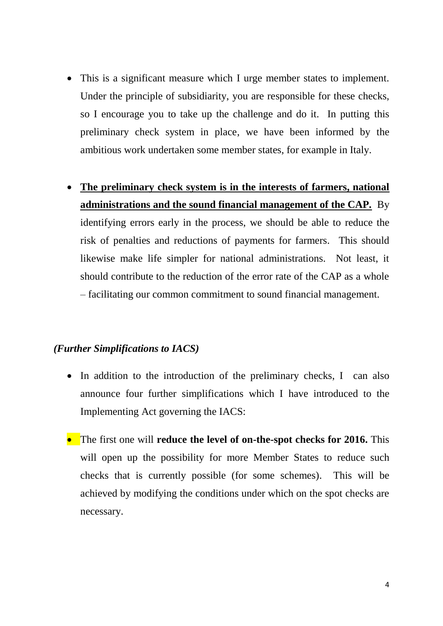- This is a significant measure which I urge member states to implement. Under the principle of subsidiarity, you are responsible for these checks, so I encourage you to take up the challenge and do it. In putting this preliminary check system in place, we have been informed by the ambitious work undertaken some member states, for example in Italy.
- **The preliminary check system is in the interests of farmers, national administrations and the sound financial management of the CAP.** By identifying errors early in the process, we should be able to reduce the risk of penalties and reductions of payments for farmers. This should likewise make life simpler for national administrations. Not least, it should contribute to the reduction of the error rate of the CAP as a whole – facilitating our common commitment to sound financial management.

#### *(Further Simplifications to IACS)*

- In addition to the introduction of the preliminary checks, I can also announce four further simplifications which I have introduced to the Implementing Act governing the IACS:
- The first one will **reduce the level of on-the-spot checks for 2016.** This will open up the possibility for more Member States to reduce such checks that is currently possible (for some schemes). This will be achieved by modifying the conditions under which on the spot checks are necessary.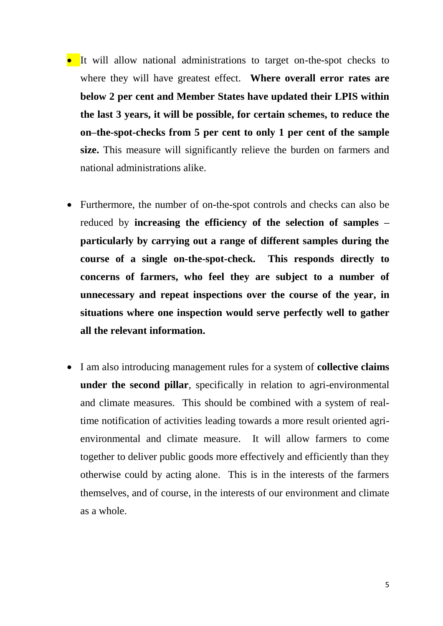- It will allow national administrations to target on-the-spot checks to where they will have greatest effect. **Where overall error rates are below 2 per cent and Member States have updated their LPIS within the last 3 years, it will be possible, for certain schemes, to reduce the on–the-spot-checks from 5 per cent to only 1 per cent of the sample size.** This measure will significantly relieve the burden on farmers and national administrations alike.
- Furthermore, the number of on-the-spot controls and checks can also be reduced by **increasing the efficiency of the selection of samples – particularly by carrying out a range of different samples during the course of a single on-the-spot-check. This responds directly to concerns of farmers, who feel they are subject to a number of unnecessary and repeat inspections over the course of the year, in situations where one inspection would serve perfectly well to gather all the relevant information.**
- I am also introducing management rules for a system of **collective claims under the second pillar**, specifically in relation to agri-environmental and climate measures. This should be combined with a system of realtime notification of activities leading towards a more result oriented agrienvironmental and climate measure. It will allow farmers to come together to deliver public goods more effectively and efficiently than they otherwise could by acting alone. This is in the interests of the farmers themselves, and of course, in the interests of our environment and climate as a whole.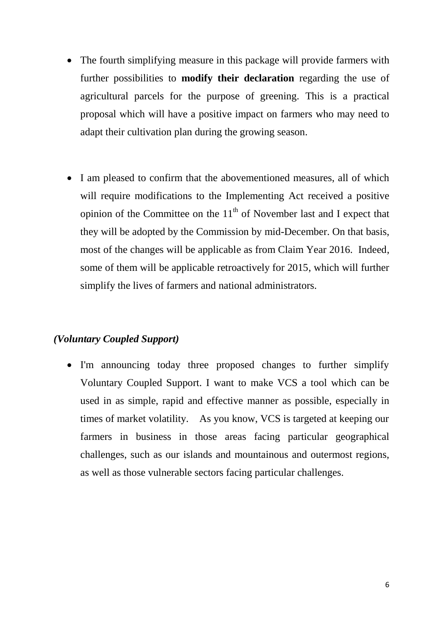- The fourth simplifying measure in this package will provide farmers with further possibilities to **modify their declaration** regarding the use of agricultural parcels for the purpose of greening. This is a practical proposal which will have a positive impact on farmers who may need to adapt their cultivation plan during the growing season.
- I am pleased to confirm that the abovementioned measures, all of which will require modifications to the Implementing Act received a positive opinion of the Committee on the  $11<sup>th</sup>$  of November last and I expect that they will be adopted by the Commission by mid-December. On that basis, most of the changes will be applicable as from Claim Year 2016. Indeed, some of them will be applicable retroactively for 2015, which will further simplify the lives of farmers and national administrators.

## *(Voluntary Coupled Support)*

 I'm announcing today three proposed changes to further simplify Voluntary Coupled Support. I want to make VCS a tool which can be used in as simple, rapid and effective manner as possible, especially in times of market volatility. As you know, VCS is targeted at keeping our farmers in business in those areas facing particular geographical challenges, such as our islands and mountainous and outermost regions, as well as those vulnerable sectors facing particular challenges.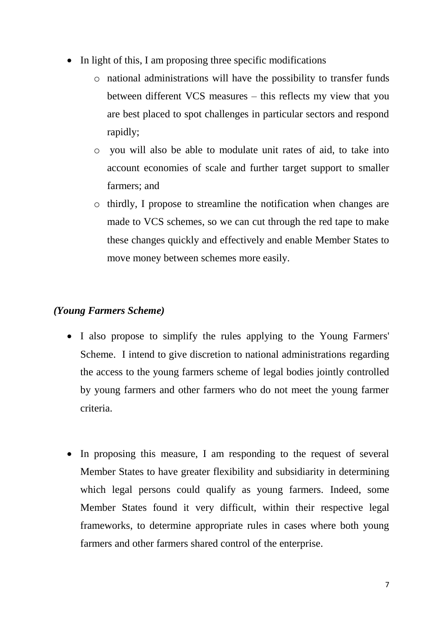- In light of this, I am proposing three specific modifications
	- o national administrations will have the possibility to transfer funds between different VCS measures – this reflects my view that you are best placed to spot challenges in particular sectors and respond rapidly;
	- o you will also be able to modulate unit rates of aid, to take into account economies of scale and further target support to smaller farmers; and
	- o thirdly, I propose to streamline the notification when changes are made to VCS schemes, so we can cut through the red tape to make these changes quickly and effectively and enable Member States to move money between schemes more easily.

## *(Young Farmers Scheme)*

- I also propose to simplify the rules applying to the Young Farmers' Scheme. I intend to give discretion to national administrations regarding the access to the young farmers scheme of legal bodies jointly controlled by young farmers and other farmers who do not meet the young farmer criteria.
- In proposing this measure, I am responding to the request of several Member States to have greater flexibility and subsidiarity in determining which legal persons could qualify as young farmers. Indeed, some Member States found it very difficult, within their respective legal frameworks, to determine appropriate rules in cases where both young farmers and other farmers shared control of the enterprise.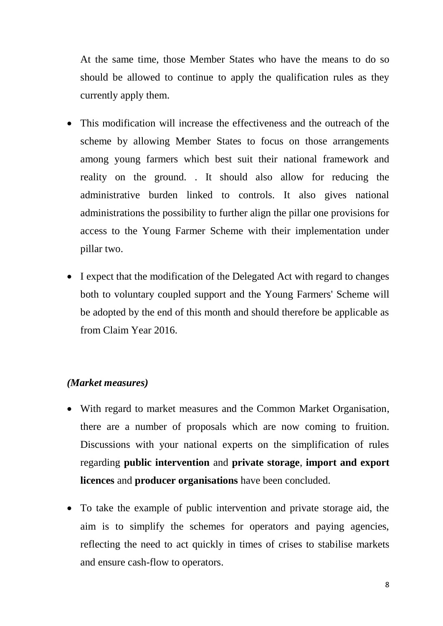At the same time, those Member States who have the means to do so should be allowed to continue to apply the qualification rules as they currently apply them.

- This modification will increase the effectiveness and the outreach of the scheme by allowing Member States to focus on those arrangements among young farmers which best suit their national framework and reality on the ground. . It should also allow for reducing the administrative burden linked to controls. It also gives national administrations the possibility to further align the pillar one provisions for access to the Young Farmer Scheme with their implementation under pillar two.
- I expect that the modification of the Delegated Act with regard to changes both to voluntary coupled support and the Young Farmers' Scheme will be adopted by the end of this month and should therefore be applicable as from Claim Year 2016.

#### *(Market measures)*

- With regard to market measures and the Common Market Organisation, there are a number of proposals which are now coming to fruition. Discussions with your national experts on the simplification of rules regarding **public intervention** and **private storage**, **import and export licences** and **producer organisations** have been concluded.
- To take the example of public intervention and private storage aid, the aim is to simplify the schemes for operators and paying agencies, reflecting the need to act quickly in times of crises to stabilise markets and ensure cash-flow to operators.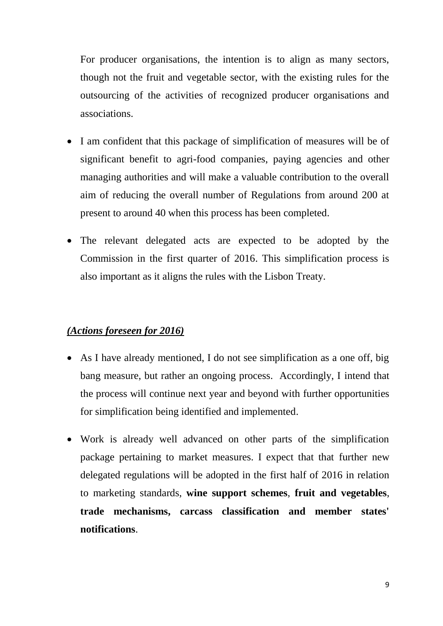For producer organisations, the intention is to align as many sectors, though not the fruit and vegetable sector, with the existing rules for the outsourcing of the activities of recognized producer organisations and associations.

- I am confident that this package of simplification of measures will be of significant benefit to agri-food companies, paying agencies and other managing authorities and will make a valuable contribution to the overall aim of reducing the overall number of Regulations from around 200 at present to around 40 when this process has been completed.
- The relevant delegated acts are expected to be adopted by the Commission in the first quarter of 2016. This simplification process is also important as it aligns the rules with the Lisbon Treaty.

#### *(Actions foreseen for 2016)*

- As I have already mentioned, I do not see simplification as a one off, big bang measure, but rather an ongoing process. Accordingly, I intend that the process will continue next year and beyond with further opportunities for simplification being identified and implemented.
- Work is already well advanced on other parts of the simplification package pertaining to market measures. I expect that that further new delegated regulations will be adopted in the first half of 2016 in relation to marketing standards, **wine support schemes**, **fruit and vegetables**, **trade mechanisms, carcass classification and member states' notifications**.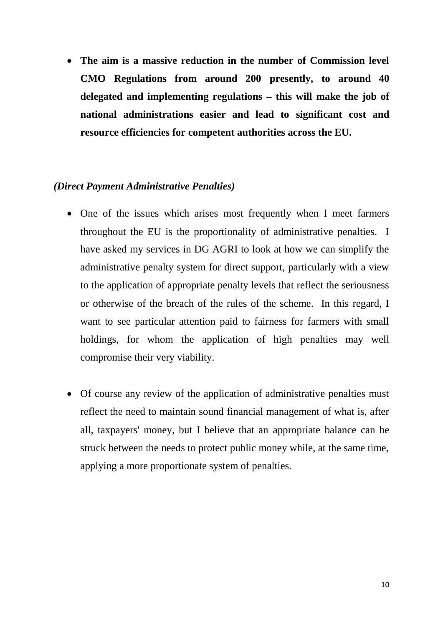**The aim is a massive reduction in the number of Commission level CMO Regulations from around 200 presently, to around 40 delegated and implementing regulations – this will make the job of national administrations easier and lead to significant cost and resource efficiencies for competent authorities across the EU.**

### *(Direct Payment Administrative Penalties)*

- One of the issues which arises most frequently when I meet farmers throughout the EU is the proportionality of administrative penalties. I have asked my services in DG AGRI to look at how we can simplify the administrative penalty system for direct support, particularly with a view to the application of appropriate penalty levels that reflect the seriousness or otherwise of the breach of the rules of the scheme. In this regard, I want to see particular attention paid to fairness for farmers with small holdings, for whom the application of high penalties may well compromise their very viability.
- Of course any review of the application of administrative penalties must reflect the need to maintain sound financial management of what is, after all, taxpayers' money, but I believe that an appropriate balance can be struck between the needs to protect public money while, at the same time, applying a more proportionate system of penalties.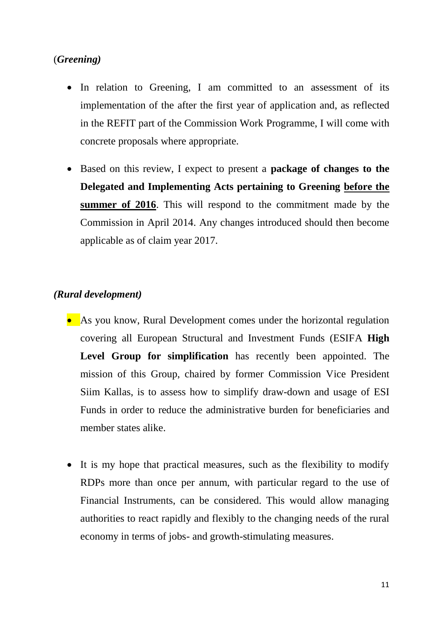## (*Greening)*

- In relation to Greening, I am committed to an assessment of its implementation of the after the first year of application and, as reflected in the REFIT part of the Commission Work Programme, I will come with concrete proposals where appropriate.
- Based on this review, I expect to present a **package of changes to the Delegated and Implementing Acts pertaining to Greening before the summer of 2016**. This will respond to the commitment made by the Commission in April 2014. Any changes introduced should then become applicable as of claim year 2017.

### *(Rural development)*

- As you know, Rural Development comes under the horizontal regulation covering all European Structural and Investment Funds (ESIFA **High Level Group for simplification** has recently been appointed. The mission of this Group, chaired by former Commission Vice President Siim Kallas, is to assess how to simplify draw-down and usage of ESI Funds in order to reduce the administrative burden for beneficiaries and member states alike.
- It is my hope that practical measures, such as the flexibility to modify RDPs more than once per annum, with particular regard to the use of Financial Instruments, can be considered. This would allow managing authorities to react rapidly and flexibly to the changing needs of the rural economy in terms of jobs- and growth-stimulating measures.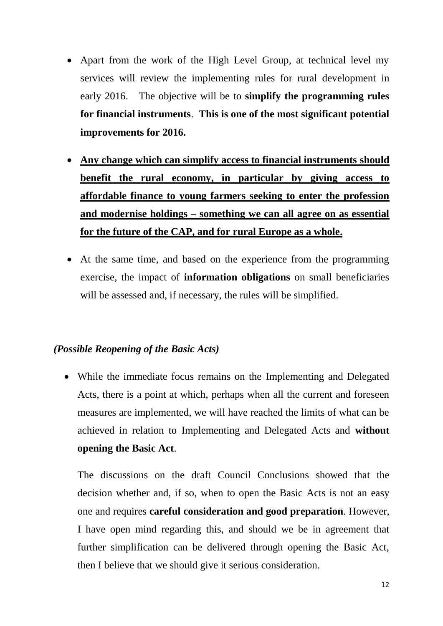- Apart from the work of the High Level Group, at technical level my services will review the implementing rules for rural development in early 2016. The objective will be to **simplify the programming rules for financial instruments**. **This is one of the most significant potential improvements for 2016.**
- **Any change which can simplify access to financial instruments should benefit the rural economy, in particular by giving access to affordable finance to young farmers seeking to enter the profession and modernise holdings – something we can all agree on as essential for the future of the CAP, and for rural Europe as a whole.**
- At the same time, and based on the experience from the programming exercise, the impact of **information obligations** on small beneficiaries will be assessed and, if necessary, the rules will be simplified.

## *(Possible Reopening of the Basic Acts)*

 While the immediate focus remains on the Implementing and Delegated Acts, there is a point at which, perhaps when all the current and foreseen measures are implemented, we will have reached the limits of what can be achieved in relation to Implementing and Delegated Acts and **without opening the Basic Act**.

The discussions on the draft Council Conclusions showed that the decision whether and, if so, when to open the Basic Acts is not an easy one and requires **careful consideration and good preparation**. However, I have open mind regarding this, and should we be in agreement that further simplification can be delivered through opening the Basic Act, then I believe that we should give it serious consideration.